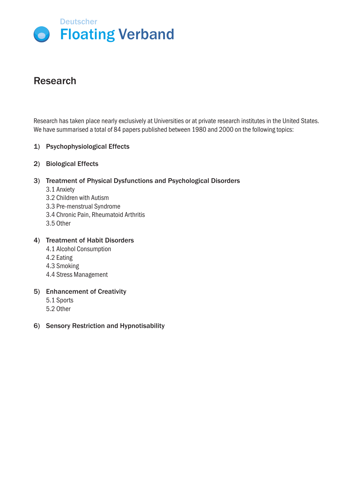

# Research

Research has taken place nearly exclusively at Universities or at private research institutes in the United States. We have summarised a total of 84 papers published between 1980 and 2000 on the following topics:

## 1) Psychophysiological Effects

2) Biological Effects

## 3) Treatment of Physical Dysfunctions and Psychological Disorders

- 3.1 Anxiety
- 3.2 Children with Autism
- 3.3 Pre-menstrual Syndrome
- 3.4 Chronic Pain, Rheumatoid Arthritis
- 3.5 Other

## 4) Treatment of Habit Disorders

- 4.1 Alcohol Consumption
- 4.2 Eating
- 4.3 Smoking
- 4.4 Stress Management

#### 5) Enhancement of Creativity

- 5.1 Sports 5.2 Other
- 6) Sensory Restriction and Hypnotisability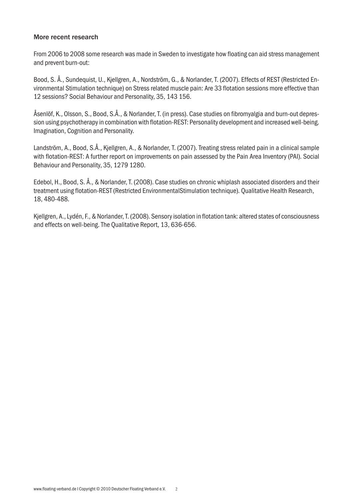#### More recent research

From 2006 to 2008 some research was made in Sweden to investigate how floating can aid stress management and prevent burn-out:

Bood, S. Å., Sundequist, U., Kjellgren, A., Nordström, G., & Norlander, T. (2007). Effects of REST (Restricted Environmental Stimulation technique) on Stress related muscle pain: Are 33 flotation sessions more effective than 12 sessions? Social Behaviour and Personality, 35, 143 156.

Åsenlöf, K., Olsson, S., Bood, S.Å., & Norlander, T. (in press). Case studies on fibromyalgia and burn-out depression using psychotherapy in combination with flotation-REST: Personality development and increased well-being. Imagination, Cognition and Personality.

Landström, A., Bood, S.Å., Kjellgren, A., & Norlander, T. (2007). Treating stress related pain in a clinical sample with flotation-REST: A further report on improvements on pain assessed by the Pain Area Inventory (PAI). Social Behaviour and Personality, 35, 1279 1280.

Edebol, H., Bood, S. Å., & Norlander, T. (2008). Case studies on chronic whiplash associated disorders and their treatment using flotation-REST (Restricted EnvironmentalStimulation technique). Qualitative Health Research, 18, 480-488.

Kjellgren, A., Lydén, F., & Norlander, T. (2008). Sensory isolation in flotation tank: altered states of consciousness and effects on well-being. The Qualitative Report, 13, 636-656.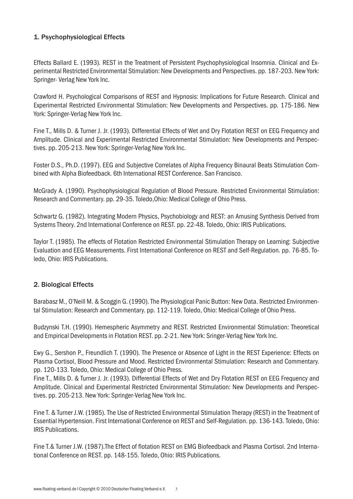# 1. Psychophysiological Effects

Effects Ballard E. (1993). REST in the Treatment of Persistent Psychophysiological Insomnia. Clinical and Experimental Restricted Environmental Stimulation: New Developments and Perspectives. pp. 187-203. New York: Springer- Verlag New York Inc.

Crawford H. Psychological Comparisons of REST and Hypnosis: Implications for Future Research. Clinical and Experimental Restricted Environmental Stimulation: New Developments and Perspectives. pp. 175-186. New York: Springer-Verlag New York Inc.

Fine T., Mills D. & Turner J. Jr. (1993). Differential Effects of Wet and Dry Flotation REST on EEG Frequency and Amplitude. Clinical and Experimental Restricted Environmental Stimulation: New Developments and Perspectives. pp. 205-213. New York: Springer-Verlag New York Inc.

Foster D.S., Ph.D. (1997). EEG and Subjective Correlates of Alpha Frequency Binaural Beats Stimulation Combined with Alpha Biofeedback. 6th International REST Conference. San Francisco.

McGrady A. (1990). Psychophysiological Regulation of Blood Pressure. Restricted Environmental Stimulation: Research and Commentary. pp. 29-35. Toledo,Ohio: Medical College of Ohio Press.

Schwartz G. (1982). Integrating Modern Physics, Psychobiology and REST: an Amusing Synthesis Derived from Systems Theory. 2nd International Conference on REST. pp. 22-48. Toledo, Ohio: IRIS Publications.

Taylor T. (1985). The effects of Flotation Restricted Environmental Stimulation Therapy on Learning: Subjective Evaluation and EEG Measurements. First International Conference on REST and Self-Regulation. pp. 76-85. Toledo, Ohio: IRIS Publications.

# 2. Biological Effects

Barabasz M., O'Neill M. & Scoggin G. (1990). The Physiological Panic Button: New Data. Restricted Environmental Stimulation: Research and Commentary. pp. 112-119. Toledo, Ohio: Medical College of Ohio Press.

Budzynski T.H. (1990). Hemespheric Asymmetry and REST. Restricted Environmental Stimulation: Theoretical and Empirical Developments in Flotation REST. pp. 2-21. New York: Sringer-Verlag New York Inc.

Ewy G., Sershon P., Freundlich T. (1990). The Presence or Absence of Light in the REST Experience: Effects on Plasma Cortisol, Blood Pressure and Mood. Restricted Environmental Stimulation: Research and Commentary. pp. 120-133. Toledo, Ohio: Medical College of Ohio Press.

Fine T., Mills D. & Turner J. Jr. (1993). Differential Effects of Wet and Dry Flotation REST on EEG Frequency and Amplitude. Clinical and Experimental Restricted Environmental Stimulation: New Developments and Perspectives. pp. 205-213. New York: Springer-Verlag New York Inc.

Fine T. & Turner J.W. (1985). The Use of Restricted Environmental Stimulation Therapy (REST) in the Treatment of Essential Hypertension. First International Conference on REST and Self-Regulation. pp. 136-143. Toledo, Ohio: IRIS Publications.

Fine T.& Turner J.W. (1987).The Effect of flotation REST on EMG Biofeedback and Plasma Cortisol. 2nd International Conference on REST. pp. 148-155. Toledo, Ohio: IRIS Publications.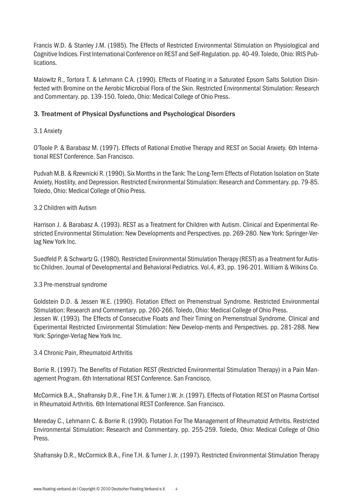Francis W.D. & Stanley J.M. (1985). The Effects of Restricted Environmental Stimulation on Physiological and Cognitive Indices. First International Conference on REST and Self-Regulation. pp. 40-49. Toledo, Ohio: IRIS Publications.

Malowitz R., Tortora T. & Lehmann C.A. (1990). Effects of Floating in a Saturated Epsom Salts Solution Disinfected with Bromine on the Aerobic Microbial Flora of the Skin. Restricted Environmental Stimulation: Research and Commentary. pp. 139-150. Toledo, Ohio: Medical College of Ohio Press.

# 3. Treatment of Physical Dysfunctions and Psychological Disorders

# 3.1 Anxiety

O'Toole P. & Barabasz M. (1997). Effects of Rational Emotive Therapy and REST on Social Anxiety. 6th International REST Conference. San Francisco.

Pudvah M.B. & Rzewnicki R. (1990). Six Months in the Tank: The Long-Term Effects of Flotation Isolation on State Anxiety, Hostility, and Depression. Restricted Environmental Stimulation: Research and Commentary. pp. 79-85. Toledo, Ohio: Medical College of Ohio Press.

## 3.2 Children with Autism

Harrison J. & Barabasz A. (1993). REST as a Treatment for Children with Autism. Clinical and Experimental Restricted Environmental Stimulation: New Developments and Perspectives. pp. 269-280. New York: Springer-Verlag New York Inc.

Suedfeld P. & Schwartz G. (1980). Restricted Environmental Stimulation Therapy (REST) as a Treatment for Autistic Children. Journal of Developmental and Behavioral Pediatrics. Vol.4, #3, pp. 196-201. William & Wilkins Co.

# 3.3 Pre-menstrual syndrome

Goldstein D.D. & Jessen W.E. (1990). Flotation Effect on Premenstrual Syndrome. Restricted Environmental Stimulation: Research and Commentary. pp. 260-266. Toledo, Ohio: Medical College of Ohio Press. Jessen W. (1993). The Effects of Consecutive Floats and Their Timing on Premenstrual Syndrome. Clinical and Experimental Restricted Environmental Stimulation: New Develop-ments and Perspectives. pp. 281-288. New York: Springer-Verlag New York Inc.

#### 3.4 Chronic Pain, Rheumatoid Arthritis

Borrie R. (1997). The Benefits of Flotation REST (Restricted Environmental Stimulation Therapy) in a Pain Management Program. 6th International REST Conference. San Francisco.

McCormick B.A., Shafransky D.R., Fine T.H. & Turner J.W. Jr. (1997). Effects of Flotation REST on Plasma Cortisol in Rheumatoid Arthritis. 6th International REST Conference. San Francisco.

Mereday C., Lehmann C. & Borrie R. (1990). Flotation For The Management of Rheumatoid Arthritis. Restricted Environmental Stimulation: Research and Commentary. pp. 255-259. Toledo, Ohio: Medical College of Ohio Press.

Shafransky D.R., McCormick B.A., Fine T.H. & Turner J. Jr. (1997). Restricted Environmental Stimulation Therapy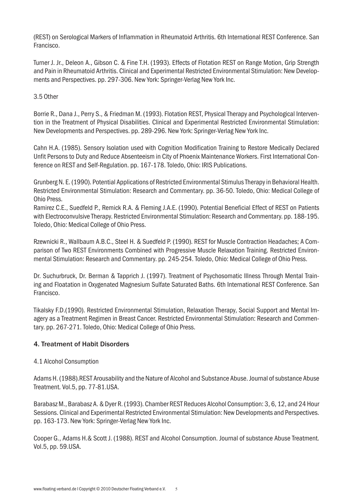(REST) on Serological Markers of Inflammation in Rheumatoid Arthritis. 6th International REST Conference. San Francisco.

Turner J. Jr., Deleon A., Gibson C. & Fine T.H. (1993). Effects of Flotation REST on Range Motion, Grip Strength and Pain in Rheumatoid Arthritis. Clinical and Experimental Restricted Environmental Stimulation: New Developments and Perspectives. pp. 297-306. New York: Springer-Verlag New York Inc.

# 3.5 Other

Borrie R., Dana J., Perry S., & Friedman M. (1993). Flotation REST, Physical Therapy and Psychological Intervention in the Treatment of Physical Disabilities. Clinical and Experimental Restricted Environmental Stimulation: New Developments and Perspectives. pp. 289-296. New York: Springer-Verlag New York Inc.

Cahn H.A. (1985). Sensory Isolation used with Cognition Modification Training to Restore Medically Declared Unfit Persons to Duty and Reduce Absenteeism in City of Phoenix Maintenance Workers. First International Conference on REST and Self-Regulation. pp. 167-178. Toledo, Ohio: IRIS Publications.

Grunberg N. E. (1990). Potential Applications of Restricted Environmental Stimulus Therapy in Behavioral Health. Restricted Environmental Stimulation: Research and Commentary. pp. 36-50. Toledo, Ohio: Medical College of Ohio Press.

Ramirez C.E., Suedfeld P., Remick R.A. & Fleming J.A.E. (1990). Potential Beneficial Effect of REST on Patients with Electroconvulsive Therapy. Restricted Environmental Stimulation: Research and Commentary. pp. 188-195. Toledo, Ohio: Medical College of Ohio Press.

Rzewnicki R., Wallbaum A.B.C., Steel H. & Suedfeld P. (1990). REST for Muscle Contraction Headaches; A Comparison of Two REST Environments Combined with Progressive Muscle Relaxation Training. Restricted Environmental Stimulation: Research and Commentary. pp. 245-254. Toledo, Ohio: Medical College of Ohio Press.

Dr. Suchurbruck, Dr. Berman & Tapprich J. (1997). Treatment of Psychosomatic Illness Through Mental Training and Floatation in Oxygenated Magnesium Sulfate Saturated Baths. 6th International REST Conference. San Francisco.

Tikalsky F.D.(1990). Restricted Environmental Stimulation, Relaxation Therapy, Social Support and Mental Imagery as a Treatment Regimen in Breast Cancer. Restricted Environmental Stimulation: Research and Commentary. pp. 267-271. Toledo, Ohio: Medical College of Ohio Press.

# 4. Treatment of Habit Disorders

# 4.1 Alcohol Consumption

Adams H. (1988).REST Arousability and the Nature of Alcohol and Substance Abuse. Journal of substance Abuse Treatment. Vol.5, pp. 77-81.USA.

Barabasz M., Barabasz A. & Dyer R. (1993). Chamber REST Reduces Alcohol Consumption: 3, 6, 12, and 24 Hour Sessions. Clinical and Experimental Restricted Environmental Stimulation: New Developments and Perspectives. pp. 163-173. New York: Springer-Verlag New York Inc.

Cooper G., Adams H.& Scott J. (1988). REST and Alcohol Consumption. Journal of substance Abuse Treatment. Vol.5, pp. 59.USA.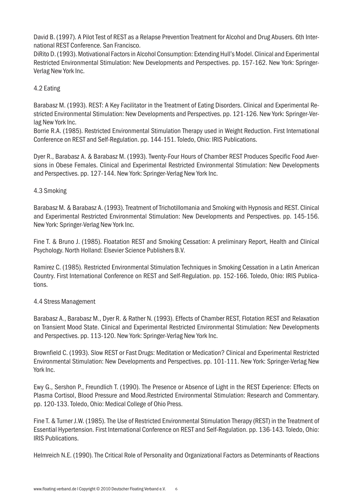David B. (1997). A Pilot Test of REST as a Relapse Prevention Treatment for Alcohol and Drug Abusers. 6th International REST Conference. San Francisco.

DiRito D. (1993). Motivational Factors in Alcohol Consumption: Extending Hull's Model. Clinical and Experimental Restricted Environmental Stimulation: New Developments and Perspectives. pp. 157-162. New York: Springer-Verlag New York Inc.

## 4.2 Eating

Barabasz M. (1993). REST: A Key Facilitator in the Treatment of Eating Disorders. Clinical and Experimental Restricted Environmental Stimulation: New Developments and Perspectives. pp. 121-126. New York: Springer-Verlag New York Inc.

Borrie R.A. (1985). Restricted Environmental Stimulation Therapy used in Weight Reduction. First International Conference on REST and Self-Regulation. pp. 144-151. Toledo, Ohio: IRIS Publications.

Dyer R., Barabasz A. & Barabasz M. (1993). Twenty-Four Hours of Chamber REST Produces Specific Food Aversions in Obese Females. Clinical and Experimental Restricted Environmental Stimulation: New Developments and Perspectives. pp. 127-144. New York: Springer-Verlag New York Inc.

## 4.3 Smoking

Barabasz M. & Barabasz A. (1993). Treatment of Trichotillomania and Smoking with Hypnosis and REST. Clinical and Experimental Restricted Environmental Stimulation: New Developments and Perspectives. pp. 145-156. New York: Springer-Verlag New York Inc.

Fine T. & Bruno J. (1985). Floatation REST and Smoking Cessation: A preliminary Report, Health and Clinical Psychology. North Holland: Elsevier Science Publishers B.V.

Ramirez C. (1985). Restricted Environmental Stimulation Techniques in Smoking Cessation in a Latin American Country. First International Conference on REST and Self-Regulation. pp. 152-166. Toledo, Ohio: IRIS Publications.

#### 4.4 Stress Management

Barabasz A., Barabasz M., Dyer R. & Rather N. (1993). Effects of Chamber REST, Flotation REST and Relaxation on Transient Mood State. Clinical and Experimental Restricted Environmental Stimulation: New Developments and Perspectives. pp. 113-120. New York: Springer-Verlag New York Inc.

Brownfield C. (1993). Slow REST or Fast Drugs: Meditation or Medication? Clinical and Experimental Restricted Environmental Stimulation: New Developments and Perspectives. pp. 101-111. New York: Springer-Verlag New York Inc.

Ewy G., Sershon P., Freundlich T. (1990). The Presence or Absence of Light in the REST Experience: Effects on Plasma Cortisol, Blood Pressure and Mood.Restricted Environmental Stimulation: Research and Commentary. pp. 120-133. Toledo, Ohio: Medical College of Ohio Press.

Fine T. & Turner J.W. (1985). The Use of Restricted Environmental Stimulation Therapy (REST) in the Treatment of Essential Hypertension. First International Conference on REST and Self-Regulation. pp. 136-143. Toledo, Ohio: IRIS Publications.

Helmreich N.E. (1990). The Critical Role of Personality and Organizational Factors as Determinants of Reactions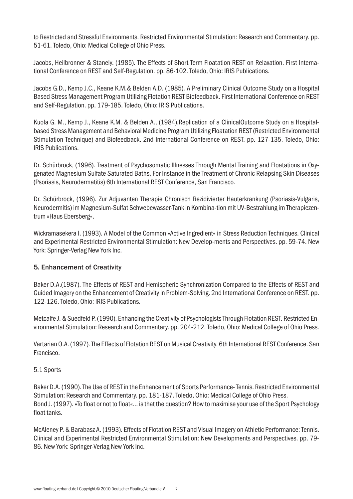to Restricted and Stressful Environments. Restricted Environmental Stimulation: Research and Commentary. pp. 51-61. Toledo, Ohio: Medical College of Ohio Press.

Jacobs, Heilbronner & Stanely. (1985). The Effects of Short Term Floatation REST on Relaxation. First International Conference on REST and Self-Regulation. pp. 86-102. Toledo, Ohio: IRIS Publications.

Jacobs G.D., Kemp J.C., Keane K.M.& Belden A.D. (1985). A Preliminary Clinical Outcome Study on a Hospital Based Stress Management Program Utilizing Flotation REST Biofeedback. First International Conference on REST and Self-Regulation. pp. 179-185. Toledo, Ohio: IRIS Publications.

Kuola G. M., Kemp J., Keane K.M. & Belden A., (1984).Replication of a ClinicalOutcome Study on a Hospitalbased Stress Management and Behavioral Medicine Program Utilizing Floatation REST (Restricted Environmental Stimulation Technique) and Biofeedback. 2nd International Conference on REST. pp. 127-135. Toledo, Ohio: IRIS Publications.

Dr. Schürbrock, (1996). Treatment of Psychosomatic Illnesses Through Mental Training and Floatations in Oxygenated Magnesium Sulfate Saturated Baths, For Instance in the Treatment of Chronic Relapsing Skin Diseases (Psoriasis, Neurodermatitis) 6th International REST Conference, San Francisco.

Dr. Schürbrock, (1996). Zur Adjuvanten Therapie Chronisch Rezidivierter Hauterkrankung (Psoriasis-Vulgaris, Neurodermitis) im Magnesium-Sulfat Schwebewasser-Tank in Kombina-tion mit UV-Bestrahlung im Therapiezentrum »Haus Ebersberg«.

Wickramasekera I. (1993). A Model of the Common »Active Ingredient« in Stress Reduction Techniques. Clinical and Experimental Restricted Environmental Stimulation: New Develop-ments and Perspectives. pp. 59-74. New York: Springer-Verlag New York Inc.

# 5. Enhancement of Creativity

Baker D.A.(1987). The Effects of REST and Hemispheric Synchronization Compared to the Effects of REST and Guided Imagery on the Enhancement of Creativity in Problem-Solving. 2nd International Conference on REST. pp. 122-126. Toledo, Ohio: IRIS Publications.

Metcalfe J. & Suedfeld P. (1990). Enhancing the Creativity of Psychologists Through Flotation REST. Restricted Environmental Stimulation: Research and Commentary. pp. 204-212. Toledo, Ohio: Medical College of Ohio Press.

Vartarian O.A. (1997). The Effects of Flotation REST on Musical Creativity. 6th International REST Conference. San Francisco.

# 5.1 Sports

Baker D.A. (1990). The Use of REST in the Enhancement of Sports Performance- Tennis. Restricted Environmental Stimulation: Research and Commentary. pp. 181-187. Toledo, Ohio: Medical College of Ohio Press. Bond J. (1997). »To float or not to float«… is that the question? How to maximise your use of the Sport Psychology float tanks.

McAleney P. & Barabasz A. (1993). Effects of Flotation REST and Visual Imagery on Athletic Performance: Tennis. Clinical and Experimental Restricted Environmental Stimulation: New Developments and Perspectives. pp. 79- 86. New York: Springer-Verlag New York Inc.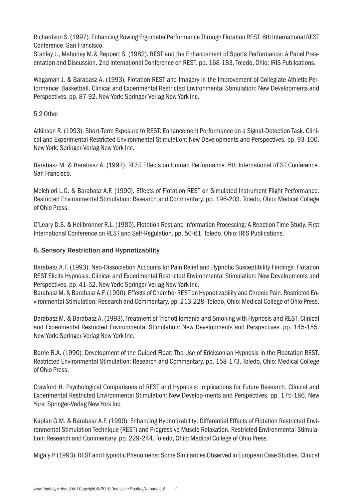Richardson S. (1997). Enhancing Rowing Ergometer Performance Through Flotation REST. 6th International REST Conference. San Francisco.

Stanley J., Mahoney M.& Reppert S. (1982). REST and the Enhancement of Sports Performance: A Panel Presentation and Discussion. 2nd International Conference on REST. pp. 168-183. Toledo, Ohio: IRIS Publications.

Wagaman J. & Barabasz A. (1993). Flotation REST and Imagery in the Improvement of Collegiate Athletic Performance: Basketball. Clinical and Experimental Restricted Environmental Stimulation: New Developments and Perspectives. pp. 87-92. New York: Springer-Verlag New York Inc.

## 5.2 Other

Atkinson R. (1993). Short-Term Exposure to REST: Enhancement Performance on a Signal-Detection Task. Clinical and Experimental Restricted Environmental Stimulation: New Developments and Perspectives. pp. 93-100. New York: Springer-Verlag New York Inc.

Barabasz M. & Barabasz A. (1997). REST Effects on Human Performance. 6th International REST Conference. San Francisco.

Melchiori L.G. & Barabasz A.F. (1990). Effects of Flotation REST on Simulated Instrument Flight Performance. Restricted Environmental Stimulation: Research and Commentary. pp. 196-203. Toledo, Ohio: Medical College of Ohio Press.

O'Leary D.S. & Heilbronner R.L. (1985). Flotation Rest and Information Processing: A Reaction Time Study. First International Conference on REST and Self-Regulation. pp. 50-61. Toledo, Ohio: IRIS Publications.

## 6. Sensory Restriction and Hypnotizability

Barabasz A.F. (1993). Neo-Dissociation Accounts for Pain Relief and Hypnotic Susceptibility Findings: Flotation REST Elicits Hypnosis. Clinical and Experimental Restricted Environmental Stimulation: New Developments and Perspectives. pp. 41-52. New York: Springer-Verlag New York Inc.

Barabasz M. & Barabasz A.F. (1990). Effects of Chamber REST on Hypnotizability and Chronic Pain. Restricted Environmental Stimulation: Research and Commentary. pp. 213-228. Toledo, Ohio: Medical College of Ohio Press.

Barabasz M. & Barabasz A. (1993). Treatment of Trichotillomania and Smoking with Hypnosis and REST. Clinical and Experimental Restricted Environmental Stimulation: New Developments and Perspectives. pp. 145-155. New York: Springer-Verlag New York Inc.

Borrie R.A. (1990). Development of the Guided Float: The Use of Ericksonian Hypnosis in the Floatation REST. Restricted Environmental Stimulation: Research and Commentary. pp. 158-173. Toledo, Ohio: Medical College of Ohio Press.

Crawford H. Psychological Comparisons of REST and Hypnosis: Implications for Future Research. Clinical and Experimental Restricted Environmental Stimulation: New Develop-ments and Perspectives. pp. 175-186. New York: Springer-Verlag New York Inc.

Kaplan G.M. & Barabasz A.F. (1990). Enhancing Hypnotizability: Differential Effects of Flotation Restricted Environmental Stimulation Technique (REST) and Progressive Muscle Relaxation. Restricted Environmental Stimulation: Research and Commentary. pp. 229-244. Toledo, Ohio: Medical College of Ohio Press.

Migaly P. (1993). REST and Hypnotic Phenomena: Some Similarities Observed in European Case Studies. Clinical